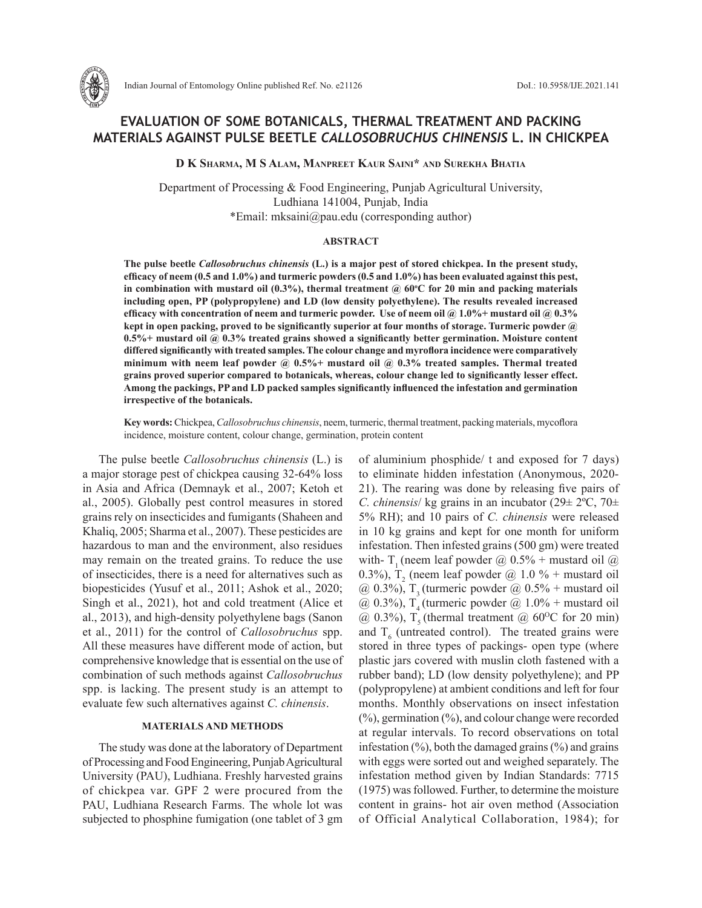

# **EVALUATION OF SOME BOTANICALS, THERMAL TREATMENT AND PACKING MATERIALS AGAINST PULSE BEETLE** *CALLOSOBRUCHUS CHINENSIS* **L. IN CHICKPEA**

**D K Sharma, M S Alam, Manpreet Kaur Saini\* and Surekha Bhatia**

Department of Processing & Food Engineering, Punjab Agricultural University, Ludhiana 141004, Punjab, India \*Email: mksaini@pau.edu (corresponding author)

#### **ABSTRACT**

**The pulse beetle** *Callosobruchus chinensis* **(L.) is a major pest of stored chickpea. In the present study, efficacy of neem (0.5 and 1.0%) and turmeric powders (0.5 and 1.0%) has been evaluated against this pest, in combination with mustard oil (0.3%), thermal treatment @ 60<sup>o</sup> C for 20 min and packing materials including open, PP (polypropylene) and LD (low density polyethylene). The results revealed increased efficacy with concentration of neem and turmeric powder. Use of neem oil @ 1.0%+ mustard oil @ 0.3% kept in open packing, proved to be significantly superior at four months of storage. Turmeric powder @ 0.5%+ mustard oil @ 0.3% treated grains showed a significantly better germination. Moisture content differed significantly with treated samples. The colour change and myroflora incidence were comparatively minimum with neem leaf powder @ 0.5%+ mustard oil @ 0.3% treated samples. Thermal treated grains proved superior compared to botanicals, whereas, colour change led to significantly lesser effect. Among the packings, PP and LD packed samples significantly influenced the infestation and germination irrespective of the botanicals.** 

**Key words:** Chickpea, *Callosobruchus chinensis*, neem, turmeric, thermal treatment, packing materials, mycoflora incidence, moisture content, colour change, germination, protein content

The pulse beetle *Callosobruchus chinensis* (L.) is a major storage pest of chickpea causing 32-64% loss in Asia and Africa (Demnayk et al., 2007; Ketoh et al., 2005). Globally pest control measures in stored grains rely on insecticides and fumigants (Shaheen and Khaliq, 2005; Sharma et al., 2007). These pesticides are hazardous to man and the environment, also residues may remain on the treated grains. To reduce the use of insecticides, there is a need for alternatives such as biopesticides (Yusuf et al., 2011; Ashok et al., 2020; Singh et al., 2021), hot and cold treatment (Alice et al., 2013), and high-density polyethylene bags (Sanon et al., 2011) for the control of *Callosobruchus* spp. All these measures have different mode of action, but comprehensive knowledge that is essential on the use of combination of such methods against *Callosobruchus* spp. is lacking. The present study is an attempt to evaluate few such alternatives against *C. chinensis*.

#### **MATERIALS AND METHODS**

The study was done at the laboratory of Department of Processing and Food Engineering, Punjab Agricultural University (PAU), Ludhiana. Freshly harvested grains of chickpea var. GPF 2 were procured from the PAU, Ludhiana Research Farms. The whole lot was subjected to phosphine fumigation (one tablet of 3 gm of aluminium phosphide/ t and exposed for 7 days) to eliminate hidden infestation (Anonymous, 2020- 21). The rearing was done by releasing five pairs of *C. chinensis*/ kg grains in an incubator  $(29 \pm 2^{\circ}C, 70 \pm 1)$ 5% RH); and 10 pairs of *C. chinensis* were released in 10 kg grains and kept for one month for uniform infestation. Then infested grains (500 gm) were treated with- T<sub>1</sub> (neem leaf powder  $\omega$ ) 0.5% + mustard oil  $\omega$ 0.3%),  $T_2$  (neem leaf powder  $@$  1.0 % + mustard oil  $(a)$  0.3%), T<sub>2</sub> (turmeric powder  $(a)$  0.5% + mustard oil  $@$  0.3%), T<sub>4</sub> (turmeric powder  $@$  1.0% + mustard oil  $\omega$  0.3%), T<sub>5</sub> (thermal treatment  $\omega$  60<sup>o</sup>C for 20 min) and  $T<sub>6</sub>$  (untreated control). The treated grains were stored in three types of packings- open type (where plastic jars covered with muslin cloth fastened with a rubber band); LD (low density polyethylene); and PP (polypropylene) at ambient conditions and left for four months. Monthly observations on insect infestation (%), germination (%), and colour change were recorded at regular intervals. To record observations on total infestation  $(\%)$ , both the damaged grains  $(\%)$  and grains with eggs were sorted out and weighed separately. The infestation method given by Indian Standards: 7715 (1975) was followed. Further, to determine the moisture content in grains- hot air oven method (Association of Official Analytical Collaboration, 1984); for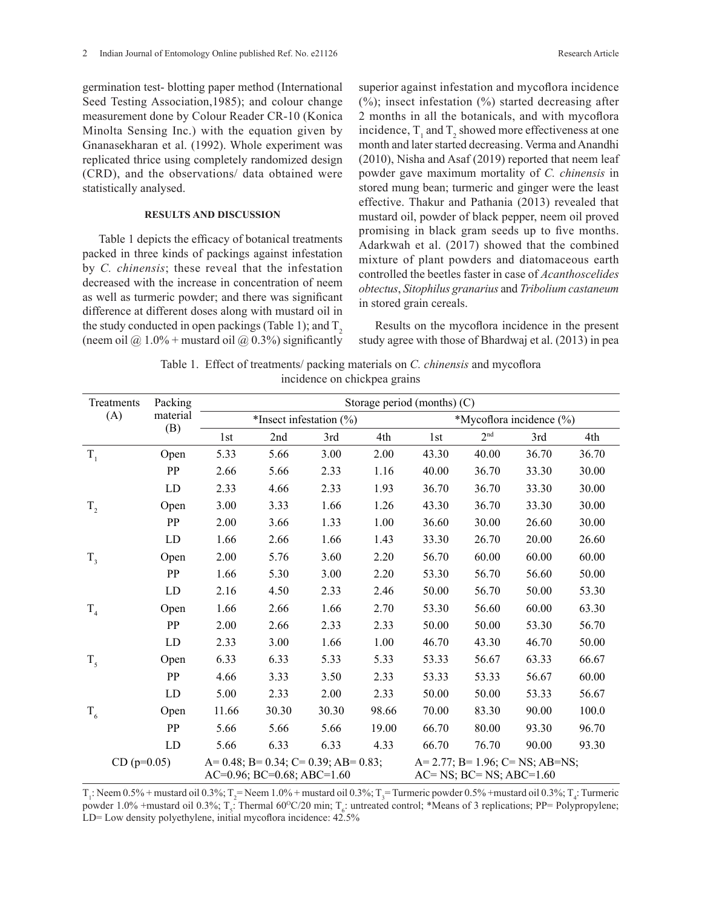germination test- blotting paper method (International Seed Testing Association,1985); and colour change measurement done by Colour Reader CR-10 (Konica Minolta Sensing Inc.) with the equation given by Gnanasekharan et al. (1992). Whole experiment was replicated thrice using completely randomized design (CRD), and the observations/ data obtained were statistically analysed.

### **RESULTS AND DISCUSSION**

Table 1 depicts the efficacy of botanical treatments packed in three kinds of packings against infestation by *C. chinensis*; these reveal that the infestation decreased with the increase in concentration of neem as well as turmeric powder; and there was significant difference at different doses along with mustard oil in the study conducted in open packings (Table 1); and  $T<sub>2</sub>$ (neem oil  $\omega$  1.0% + mustard oil  $\omega$  0.3%) significantly superior against infestation and mycoflora incidence  $(\%)$ ; insect infestation  $(\%)$  started decreasing after 2 months in all the botanicals, and with mycoflora incidence,  $T_1$  and  $T_2$  showed more effectiveness at one month and later started decreasing. Verma and Anandhi (2010), Nisha and Asaf (2019) reported that neem leaf powder gave maximum mortality of *C. chinensis* in stored mung bean; turmeric and ginger were the least effective. Thakur and Pathania (2013) revealed that mustard oil, powder of black pepper, neem oil proved promising in black gram seeds up to five months. Adarkwah et al. (2017) showed that the combined mixture of plant powders and diatomaceous earth controlled the beetles faster in case of *Acanthoscelides obtectus*, *Sitophilus granarius* and *Tribolium castaneum* in stored grain cereals.

Results on the mycoflora incidence in the present study agree with those of Bhardwaj et al. (2013) in pea

| Table 1. Effect of treatments/ packing materials on C. chinensis and mycoflora |                              |  |  |
|--------------------------------------------------------------------------------|------------------------------|--|--|
|                                                                                | incidence on chickpea grains |  |  |

| Treatments     | Packing    |       |                                    |                                                  |       | Storage period (months) $(C)$ |                                |                                          |       |
|----------------|------------|-------|------------------------------------|--------------------------------------------------|-------|-------------------------------|--------------------------------|------------------------------------------|-------|
| (A)            | material   |       |                                    | *Insect infestation $(\% )$                      |       |                               |                                | *Mycoflora incidence (%)                 |       |
|                | (B)        | 1st   | 2nd                                | 3rd                                              | 4th   | 1st                           | 2 <sup>nd</sup>                | 3rd                                      | 4th   |
| $T_{1}$        | Open       | 5.33  | 5.66                               | 3.00                                             | 2.00  | 43.30                         | 40.00                          | 36.70                                    | 36.70 |
|                | PP         | 2.66  | 5.66                               | 2.33                                             | 1.16  | 40.00                         | 36.70                          | 33.30                                    | 30.00 |
|                | LD         | 2.33  | 4.66                               | 2.33                                             | 1.93  | 36.70                         | 36.70                          | 33.30                                    | 30.00 |
| $T_{2}$        | Open       | 3.00  | 3.33                               | 1.66                                             | 1.26  | 43.30                         | 36.70                          | 33.30                                    | 30.00 |
|                | PP         | 2.00  | 3.66                               | 1.33                                             | 1.00  | 36.60                         | 30.00                          | 26.60                                    | 30.00 |
|                | LD         | 1.66  | 2.66                               | 1.66                                             | 1.43  | 33.30                         | 26.70                          | 20.00                                    | 26.60 |
| $T_{3}$        | Open       | 2.00  | 5.76                               | 3.60                                             | 2.20  | 56.70                         | 60.00                          | 60.00                                    | 60.00 |
|                | PP         | 1.66  | 5.30                               | 3.00                                             | 2.20  | 53.30                         | 56.70                          | 56.60                                    | 50.00 |
|                | LD         | 2.16  | 4.50                               | 2.33                                             | 2.46  | 50.00                         | 56.70                          | 50.00                                    | 53.30 |
| T <sub>4</sub> | Open       | 1.66  | 2.66                               | 1.66                                             | 2.70  | 53.30                         | 56.60                          | 60.00                                    | 63.30 |
|                | PP         | 2.00  | 2.66                               | 2.33                                             | 2.33  | 50.00                         | 50.00                          | 53.30                                    | 56.70 |
|                | LD         | 2.33  | 3.00                               | 1.66                                             | 1.00  | 46.70                         | 43.30                          | 46.70                                    | 50.00 |
| T <sub>5</sub> | Open       | 6.33  | 6.33                               | 5.33                                             | 5.33  | 53.33                         | 56.67                          | 63.33                                    | 66.67 |
|                | PP         | 4.66  | 3.33                               | 3.50                                             | 2.33  | 53.33                         | 53.33                          | 56.67                                    | 60.00 |
|                | LD         | 5.00  | 2.33                               | 2.00                                             | 2.33  | 50.00                         | 50.00                          | 53.33                                    | 56.67 |
| $T_6$          | Open       | 11.66 | 30.30                              | 30.30                                            | 98.66 | 70.00                         | 83.30                          | 90.00                                    | 100.0 |
|                | PP         | 5.66  | 5.66                               | 5.66                                             | 19.00 | 66.70                         | 80.00                          | 93.30                                    | 96.70 |
|                | ${\rm LD}$ | 5.66  | 6.33                               | 6.33                                             | 4.33  | 66.70                         | 76.70                          | 90.00                                    | 93.30 |
| $CD (p=0.05)$  |            |       | $AC=0.96$ ; $BC=0.68$ ; $ABC=1.60$ | A= $0.48$ ; B= $0.34$ ; C= $0.39$ ; AB= $0.83$ ; |       |                               | $AC=NS$ ; $BC=NS$ ; $ABC=1.60$ | $A=2.77$ ; $B=1.96$ ; $C=NS$ ; $AB=NS$ ; |       |

 $T_1$ : Neem 0.5% + mustard oil 0.3%;  $T_2$  = Neem 1.0% + mustard oil 0.3%;  $T_3$  = Turmeric powder 0.5% + mustard oil 0.3%;  $T_4$ : Turmeric powder 1.0% +mustard oil 0.3%;  $T_s$ : Thermal 60°C/20 min;  $T_s$ : untreated control; \*Means of 3 replications; PP= Polypropylene; LD= Low density polyethylene, initial mycoflora incidence: 42.5%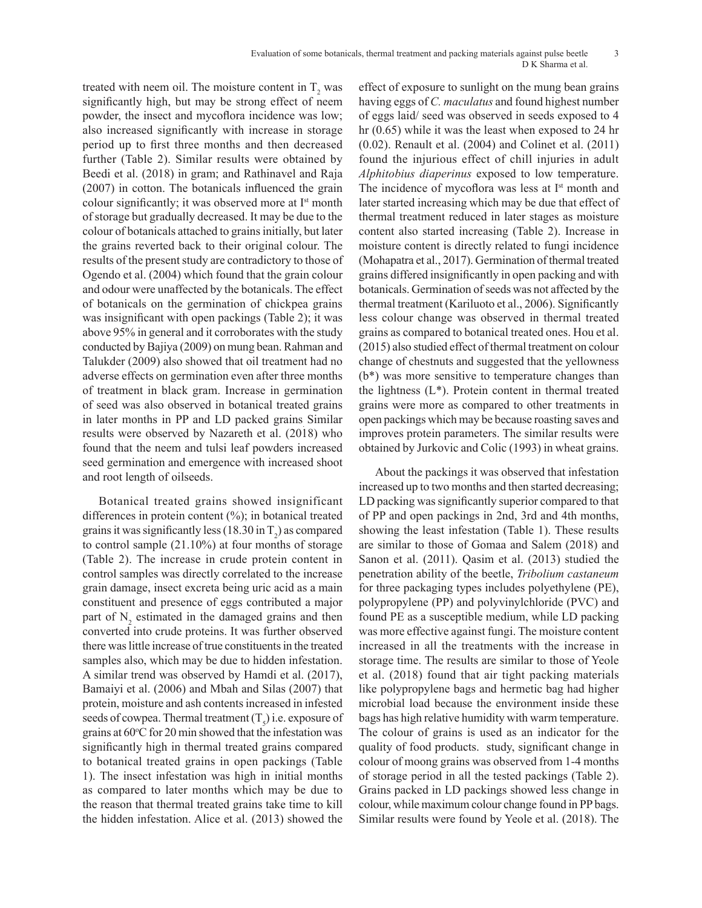treated with neem oil. The moisture content in  $T_2$  was significantly high, but may be strong effect of neem powder, the insect and mycoflora incidence was low; also increased significantly with increase in storage period up to first three months and then decreased further (Table 2). Similar results were obtained by Beedi et al. (2018) in gram; and Rathinavel and Raja (2007) in cotton. The botanicals influenced the grain colour significantly; it was observed more at Ist month of storage but gradually decreased. It may be due to the colour of botanicals attached to grains initially, but later the grains reverted back to their original colour. The results of the present study are contradictory to those of Ogendo et al. (2004) which found that the grain colour and odour were unaffected by the botanicals. The effect of botanicals on the germination of chickpea grains was insignificant with open packings (Table 2); it was above 95% in general and it corroborates with the study conducted by Bajiya (2009) on mung bean. Rahman and Talukder (2009) also showed that oil treatment had no adverse effects on germination even after three months of treatment in black gram. Increase in germination of seed was also observed in botanical treated grains in later months in PP and LD packed grains Similar results were observed by Nazareth et al. (2018) who found that the neem and tulsi leaf powders increased seed germination and emergence with increased shoot and root length of oilseeds.

Botanical treated grains showed insignificant differences in protein content (%); in botanical treated grains it was significantly less (18.30 in  $T_2$ ) as compared to control sample (21.10%) at four months of storage (Table 2). The increase in crude protein content in control samples was directly correlated to the increase grain damage, insect excreta being uric acid as a main constituent and presence of eggs contributed a major part of  $N_2$  estimated in the damaged grains and then converted into crude proteins. It was further observed there was little increase of true constituents in the treated samples also, which may be due to hidden infestation. A similar trend was observed by Hamdi et al. (2017), Bamaiyi et al. (2006) and Mbah and Silas (2007) that protein, moisture and ash contents increased in infested seeds of cowpea. Thermal treatment  $(T<sub>5</sub>)$  i.e. exposure of grains at 60°C for 20 min showed that the infestation was significantly high in thermal treated grains compared to botanical treated grains in open packings (Table 1). The insect infestation was high in initial months as compared to later months which may be due to the reason that thermal treated grains take time to kill the hidden infestation. Alice et al. (2013) showed the

effect of exposure to sunlight on the mung bean grains having eggs of *C. maculatus* and found highest number of eggs laid/ seed was observed in seeds exposed to 4 hr (0.65) while it was the least when exposed to 24 hr (0.02). Renault et al. (2004) and Colinet et al. (2011) found the injurious effect of chill injuries in adult *Alphitobius diaperinus* exposed to low temperature. The incidence of mycoflora was less at I<sup>st</sup> month and later started increasing which may be due that effect of thermal treatment reduced in later stages as moisture content also started increasing (Table 2). Increase in moisture content is directly related to fungi incidence (Mohapatra et al., 2017). Germination of thermal treated grains differed insignificantly in open packing and with botanicals. Germination of seeds was not affected by the thermal treatment (Kariluoto et al., 2006). Significantly less colour change was observed in thermal treated grains as compared to botanical treated ones. Hou et al. (2015) also studied effect of thermal treatment on colour change of chestnuts and suggested that the yellowness (b\*) was more sensitive to temperature changes than the lightness (L\*). Protein content in thermal treated grains were more as compared to other treatments in open packings which may be because roasting saves and improves protein parameters. The similar results were obtained by Jurkovic and Colic (1993) in wheat grains.

About the packings it was observed that infestation increased up to two months and then started decreasing; LD packing was significantly superior compared to that of PP and open packings in 2nd, 3rd and 4th months, showing the least infestation (Table 1). These results are similar to those of Gomaa and Salem (2018) and Sanon et al. (2011). Qasim et al. (2013) studied the penetration ability of the beetle, *Tribolium castaneum*  for three packaging types includes polyethylene (PE), polypropylene (PP) and polyvinylchloride (PVC) and found PE as a susceptible medium, while LD packing was more effective against fungi. The moisture content increased in all the treatments with the increase in storage time. The results are similar to those of Yeole et al. (2018) found that air tight packing materials like polypropylene bags and hermetic bag had higher microbial load because the environment inside these bags has high relative humidity with warm temperature. The colour of grains is used as an indicator for the quality of food products. study, significant change in colour of moong grains was observed from 1-4 months of storage period in all the tested packings (Table 2). Grains packed in LD packings showed less change in colour, while maximum colour change found in PP bags. Similar results were found by Yeole et al. (2018). The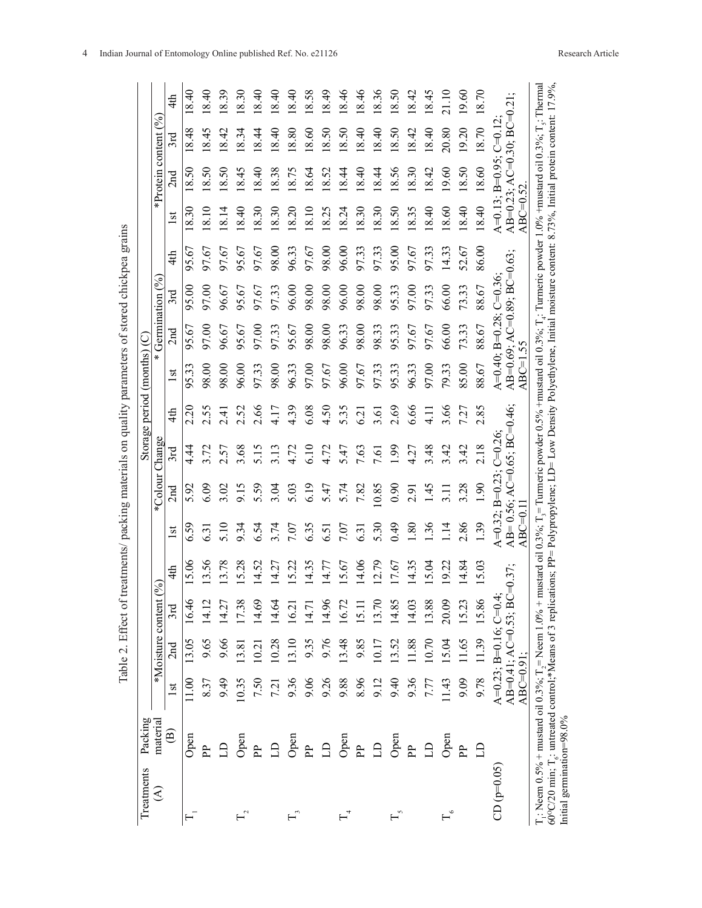| Treatments                                                                                                                                                                                                                                                                                                                                                                                                                | Packing                |              |                                                    |         |               |                  |                                                      |            |                | Storage period (months) $(C)$ |                                                                   |                |       |               |                                                          |         |       |
|---------------------------------------------------------------------------------------------------------------------------------------------------------------------------------------------------------------------------------------------------------------------------------------------------------------------------------------------------------------------------------------------------------------------------|------------------------|--------------|----------------------------------------------------|---------|---------------|------------------|------------------------------------------------------|------------|----------------|-------------------------------|-------------------------------------------------------------------|----------------|-------|---------------|----------------------------------------------------------|---------|-------|
| €                                                                                                                                                                                                                                                                                                                                                                                                                         | material               |              | *Moisture content                                  |         | $\mathcal{S}$ |                  | *Colour Change                                       |            |                |                               |                                                                   | Germination (% |       |               | *Protein content $($ %                                   |         |       |
|                                                                                                                                                                                                                                                                                                                                                                                                                           | $\widehat{\mathbf{e}}$ | lst          | 2nd                                                | 3rd     | 4th           | 1st              | 2nd                                                  | 3rd        | 4th            | 1st                           | 2nd                                                               | 3rd            | 4th   | $\frac{1}{3}$ | 2nd                                                      | 3rd     | 4th   |
| $\overline{\mathbf{H}}$                                                                                                                                                                                                                                                                                                                                                                                                   | Open                   | 11.00        | 13.05                                              | 16.46   | 5.06          | 6.59             | 5.92                                                 | 4.4        | 2.20           | 95.33                         | 95.67                                                             | 95.00          | 95.67 | 8.30          | 18.50                                                    | 8.48    | 8.40  |
|                                                                                                                                                                                                                                                                                                                                                                                                                           | <b>PP</b>              | 8.37         | 9.65                                               | 14.12   | 13.56         | 6.31             | 6.09                                                 | 3.72       | 2.55           | 98.00                         | 97.00                                                             | 97.00          | 97.67 | 8.10          | 8.50                                                     | 8.45    | 8.40  |
|                                                                                                                                                                                                                                                                                                                                                                                                                           | $\mathbf{B}$           | 9.49         | 9.66                                               | 14.27   | 13.78         | 5.10             | 3.02                                                 | 2.57       | $\frac{41}{3}$ | 98.00                         | 96.67                                                             | 96.67          | 97.67 | 8.14          | 8.50                                                     | 8.42    | 8.39  |
| $\mathrel{\mathop{\sqsubseteq}\nolimits}$                                                                                                                                                                                                                                                                                                                                                                                 | Open                   | 10.35        | 13.81                                              | 7.38    | 5.28          | 9.34             | 9.15                                                 | 3.68       | 2.52           | 96.00                         | 95.67                                                             | 95.67          | 95.67 | 8.40          | 8.45                                                     | 8.34    | 8.30  |
|                                                                                                                                                                                                                                                                                                                                                                                                                           | Ê                      | 7.50         | 10.21                                              | 14.69   | 4.52          | 6.54             | 5.59                                                 | 5.15       | 2.66           | 97.33                         | 97.00                                                             | 97.67          | 97.67 | 8.30          | 8.40                                                     | 8.44    | 8.40  |
|                                                                                                                                                                                                                                                                                                                                                                                                                           | $\triangle$            | 7.21         | 10.28                                              | $-4.64$ | 14.27         | 3.74             | 3.04                                                 | 3.13       | 4.17           | 98.00                         | 97.33                                                             | 97.33          | 98.00 | 8.30          | 8.38                                                     | 8.40    | 8.40  |
|                                                                                                                                                                                                                                                                                                                                                                                                                           | ල<br>උ                 | 9.36         | 13.10                                              | 6.21    | 5.22          | 7.07             | 5.03                                                 | 4.72       | 4.39           | 96.33                         | 95.67                                                             | 96.00          | 96.33 | 8.20          | 8.75                                                     | 8.80    | 8.40  |
|                                                                                                                                                                                                                                                                                                                                                                                                                           | $\mathbf{P}$           | 9.06         | 9.35                                               | 14.71   | 14.35         | 6.35             | 6.19                                                 | 6.10       | 6.08           | 97.00                         | 98.00                                                             | 98.00          | 97.67 | 8.10          | 8.64                                                     | .8.60   | 8.58  |
|                                                                                                                                                                                                                                                                                                                                                                                                                           | $\triangle$            | 9.26         | 9.76                                               | 14.96   | 14.77         | 6.51             | 5.47                                                 | 4.72       | 4.50           | 97.67                         | 98.00                                                             | 98.00          | 98.00 | 8.25          | 18.52                                                    | 18.50   | 8.49  |
| $\mathbb{H}^4$                                                                                                                                                                                                                                                                                                                                                                                                            | Open                   | 9.88         | 13.48                                              | 16.72   | 5.67          | 7.07             | 5.74                                                 | 5.47       | 5.35           | 96.00                         | 96.33                                                             | 96.00          | 96.00 | 8.24          | 8.44                                                     | 18.50   | 8.46  |
|                                                                                                                                                                                                                                                                                                                                                                                                                           | È                      | 8.96         | 9.85                                               | 15.11   | 14.06         | 6.3              | 7.82                                                 | 7.63       | 6.21           | 97.67                         | 98.00                                                             | 98.00          | 97.33 | 8.30          | 8.40                                                     | 18.40   | 18.46 |
|                                                                                                                                                                                                                                                                                                                                                                                                                           | $\exists$              | 9.12         | 10.17                                              | 13.70   | 12.79         | 5.30             | 0.85                                                 | 7.61       | c.             | 97.33                         | 98.33                                                             | 98.00          | 97.33 | 8.30          | 8.44                                                     | 8.40    | 8.36  |
|                                                                                                                                                                                                                                                                                                                                                                                                                           | ල<br>උ                 | 9.40         | 13.52                                              | 14.85   | 17.67         | 64.0             | 0.90                                                 | 1.99       | 2.69           | 95.33                         | 95.33                                                             | 95.33          | 95.00 | 8.50          | 8.56                                                     | 8.50    | 8.50  |
|                                                                                                                                                                                                                                                                                                                                                                                                                           | <b>PP</b>              | 9.36         | 11.88                                              | 14.03   | 14.35         | $\overline{8}$ . | 2.91                                                 | 4.27       | 6.66           | 96.33                         | 97.67                                                             | 97.00          | 97.67 | 8.35          | 8.30                                                     | 18.42   | 18.42 |
|                                                                                                                                                                                                                                                                                                                                                                                                                           | $\triangle$            | 7.77         | 10.70                                              | 13.88   | 5.04          | $\ddot{36}$      | 1.45                                                 | 3.48       | $\frac{11}{4}$ | 97.00                         | 97.67                                                             | 97.33          | 97.33 | 8.40          | 18.42                                                    | 18.40   | 18.45 |
|                                                                                                                                                                                                                                                                                                                                                                                                                           | Open                   | 11.43        | 15.04                                              | 20.09   | 9.22          | $\frac{4}{1}$    | $\frac{1}{3}$                                        | 3.42       | 3.66           | 79.33                         | 66.00                                                             | 66.00          | 14.33 | 8.60          | 19.60                                                    | 20.80   | 21.10 |
|                                                                                                                                                                                                                                                                                                                                                                                                                           | Ê                      | 9.09         | 11.65                                              | 15.23   | 14.84         | 2.86             | 3.28                                                 | 3.42       | 7.27           | 85.00                         | 73.33                                                             | 73.33          | 52.67 | 8.40          | 18.50                                                    | 19.20   | 19.60 |
|                                                                                                                                                                                                                                                                                                                                                                                                                           | £                      | 9.78         | 11.39                                              | 15.86   | 5.03          | $^{0.5}$         | $\frac{6}{10}$                                       | 2.18       | 85             | 88.67                         | 88.67                                                             | 88.67          | 86.00 | 8.40          | 8.60                                                     | 8.70    | 870   |
| $CD (p=0.05)$                                                                                                                                                                                                                                                                                                                                                                                                             |                        | $ABC=0.91$ : | $AB=0.41; AC=0.53; BC$<br>$A=0.23$ ; B=0.16; C=0.4 |         | $=0.37;$      | $ABC=0.1$        | $AB = 0.56$ ; AC=0.65; BC=0.46;<br>$A=0.32; B=0.23;$ | $C = 0.26$ |                | $ABC=1.55$                    | $AB=0.69$ ; AC=0.89; BC=0.63<br>A= $0.40$ ; B= $0.28$ ; C= $0.36$ |                |       | $ABC=0.52$    | $AB=0.23$ ; $AC=0.30$ ; $BC=0.21$<br>$A=0.13$ ; $B=0.95$ | $C=0.1$ |       |
| $T_i$ : Neem 0.5% + mustard oil 0.3%; $T_2$ = Neem 1.0% + mustard oil 0.3%; $T_3$ = Turmeric powder 0.5% + mustard oil 0.3%; $T_i$ : Turmeric powder 1.0% + mustard oil 0.3%; $T_3$ : Thermal<br>60°C/20 min; T <sub>6</sub> : untreated control;*Means of 3 replications; PP= Polypropylene; LD= Low Density Polyethylene, Initial moisture content: 8.73%, Initial protein content: 17.9%.<br>Initial germination=98.0% |                        |              |                                                    |         |               |                  |                                                      |            |                |                               |                                                                   |                |       |               |                                                          |         |       |

Table 2. Effect of treatments/ packing materials on quality parameters of stored chickpea grains

Table 2. Effect of treatments/ packing materials on quality parameters of stored chickpea grains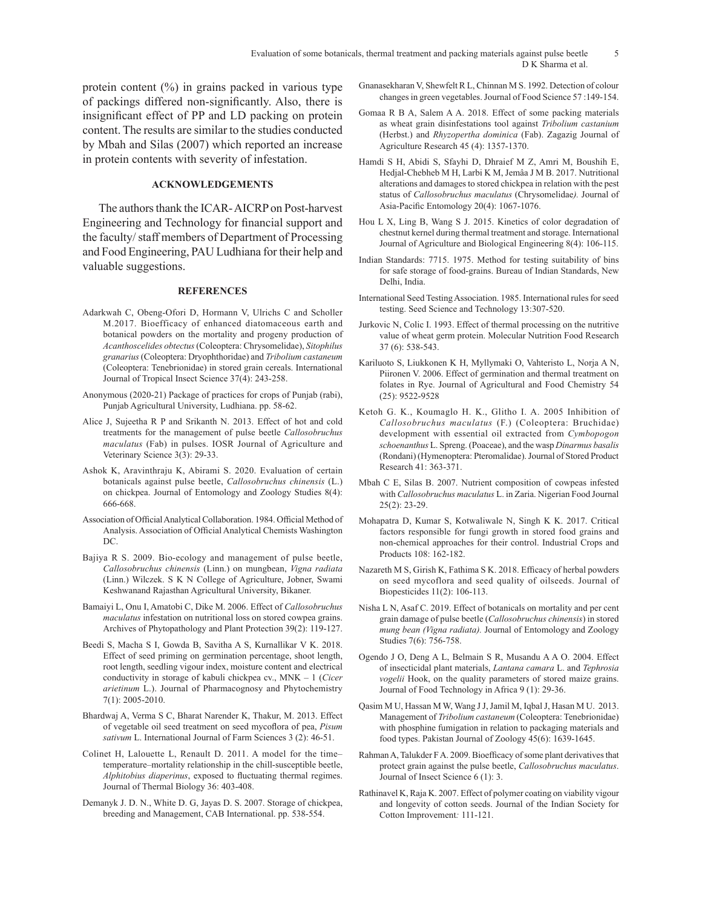protein content (%) in grains packed in various type of packings differed non-significantly. Also, there is insignificant effect of PP and LD packing on protein content. The results are similar to the studies conducted by Mbah and Silas (2007) which reported an increase in protein contents with severity of infestation.

## **ACKNOWLEDGEMENTS**

The authors thank the ICAR- AICRP on Post-harvest Engineering and Technology for financial support and the faculty/ staff members of Department of Processing and Food Engineering, PAU Ludhiana for their help and valuable suggestions.

#### **REFERENCES**

- Adarkwah C, Obeng-Ofori D, Hormann V, Ulrichs C and Scholler M.2017. Bioefficacy of enhanced diatomaceous earth and botanical powders on the mortality and progeny production of *Acanthoscelides obtectus* (Coleoptera: Chrysomelidae), *Sitophilus granarius* (Coleoptera: Dryophthoridae) and *Tribolium castaneum*  (Coleoptera: Tenebrionidae) in stored grain cereals. International Journal of Tropical Insect Science 37(4): 243-258.
- Anonymous (2020-21) Package of practices for crops of Punjab (rabi), Punjab Agricultural University, Ludhiana. pp. 58-62.
- Alice J, Sujeetha R P and Srikanth N. 2013. Effect of hot and cold treatments for the management of pulse beetle *Callosobruchus maculatus* (Fab) in pulses. IOSR Journal of Agriculture and Veterinary Science 3(3): 29-33.
- Ashok K, Aravinthraju K, Abirami S. 2020. Evaluation of certain botanicals against pulse beetle, *Callosobruchus chinensis* (L.) on chickpea. Journal of Entomology and Zoology Studies 8(4): 666-668.
- Association of Official Analytical Collaboration. 1984. Official Method of Analysis. Association of Official Analytical Chemists Washington DC.
- Bajiya R S. 2009. Bio-ecology and management of pulse beetle, *Callosobruchus chinensis* (Linn.) on mungbean, *Vigna radiata* (Linn.) Wilczek. S K N College of Agriculture, Jobner, Swami Keshwanand Rajasthan Agricultural University, Bikaner.
- Bamaiyi L, Onu I, Amatobi C, Dike M. 2006. Effect of *Callosobruchus maculatus* infestation on nutritional loss on stored cowpea grains. Archives of Phytopathology and Plant Protection 39(2): 119-127.
- Beedi S, Macha S I, Gowda B, Savitha A S, Kurnallikar V K. 2018. Effect of seed priming on germination percentage, shoot length, root length, seedling vigour index, moisture content and electrical conductivity in storage of kabuli chickpea cv., MNK – 1 (*Cicer arietinum* L.). Journal of Pharmacognosy and Phytochemistry 7(1): 2005-2010.
- Bhardwaj A, Verma S C, Bharat Narender K, Thakur, M. 2013. Effect of vegetable oil seed treatment on seed mycoflora of pea, *Pisum sativum* L. International Journal of Farm Sciences 3 (2): 46-51.
- Colinet H, Lalouette L, Renault D. 2011. A model for the time– temperature–mortality relationship in the chill-susceptible beetle, *Alphitobius diaperinus*, exposed to fluctuating thermal regimes. Journal of Thermal Biology 36: 403-408.
- Demanyk J. D. N., White D. G, Jayas D. S. 2007. Storage of chickpea, breeding and Management, CAB International. pp. 538-554.
- Gnanasekharan V, Shewfelt R L, Chinnan M S. 1992. Detection of colour changes in green vegetables. Journal of Food Science 57 :149-154.
- Gomaa R B A, Salem A A. 2018. Effect of some packing materials as wheat grain disinfestations tool against *Tribolium castanium* (Herbst.) and *Rhyzopertha dominica* (Fab). Zagazig Journal of Agriculture Research 45 (4): 1357-1370.
- Hamdi S H, Abidi S, Sfayhi D, Dhraief M Z, Amri M, Boushih E, Hedjal-Chebheb M H, Larbi K M, Jemâa J M B. 2017. Nutritional alterations and damages to stored chickpea in relation with the pest status of *Callosobruchus maculatus* (Chrysomelidae*).* Journal of Asia-Pacific Entomology 20(4): 1067-1076.
- Hou L X, Ling B, Wang S J. 2015. Kinetics of color degradation of chestnut kernel during thermal treatment and storage. International Journal of Agriculture and Biological Engineering 8(4): 106-115.
- Indian Standards: 7715. 1975. Method for testing suitability of bins for safe storage of food-grains. Bureau of Indian Standards, New Delhi, India.
- International Seed Testing Association. 1985. International rules for seed testing. Seed Science and Technology 13:307-520.
- Jurkovic N, Colic I. 1993. Effect of thermal processing on the nutritive value of wheat germ protein. Molecular Nutrition Food Research 37 (6): 538-543.
- Kariluoto S, Liukkonen K H, Myllymaki O, Vahteristo L, Norja A N, Piironen V. 2006. Effect of germination and thermal treatment on folates in Rye. Journal of Agricultural and Food Chemistry 54 (25): 9522-9528
- Ketoh G. K., Koumaglo H. K., Glitho I. A. 2005 Inhibition of *Callosobruchus maculatus* (F.) (Coleoptera: Bruchidae) development with essential oil extracted from *Cymbopogon schoenanthus* L. Spreng. (Poaceae), and the wasp *Dinarmus basalis* (Rondani) (Hymenoptera: Pteromalidae). Journal of Stored Product Research 41: 363-371.
- Mbah C E, Silas B. 2007. Nutrient composition of cowpeas infested with *Callosobruchus maculatus* L. in Zaria. Nigerian Food Journal 25(2): 23-29.
- Mohapatra D, Kumar S, Kotwaliwale N, Singh K K. 2017. Critical factors responsible for fungi growth in stored food grains and non-chemical approaches for their control. Industrial Crops and Products 108: 162-182.
- Nazareth M S, Girish K, Fathima S K. 2018. Efficacy of herbal powders on seed mycoflora and seed quality of oilseeds. Journal of Biopesticides 11(2): 106-113.
- Nisha L N, Asaf C. 2019. Effect of botanicals on mortality and per cent grain damage of pulse beetle (*Callosobruchus chinensis*) in stored *mung bean (Vigna radiata).* Journal of Entomology and Zoology Studies 7(6): 756-758.
- Ogendo J O, Deng A L, Belmain S R, Musandu A A O. 2004. Effect of insecticidal plant materials, *Lantana camara* L. and *Tephrosia vogelii* Hook, on the quality parameters of stored maize grains. Journal of Food Technology in Africa 9 (1): 29-36.
- Qasim M U, Hassan M W, Wang J J, Jamil M, Iqbal J, Hasan M U. 2013. Management of *Tribolium castaneum* (Coleoptera: Tenebrionidae) with phosphine fumigation in relation to packaging materials and food types. Pakistan Journal of Zoology 45(6): 1639-1645.
- Rahman A, Talukder F A. 2009. Bioefficacy of some plant derivatives that protect grain against the pulse beetle, *Callosobruchus maculatus*. Journal of Insect Science 6 (1): 3.
- Rathinavel K, Raja K. 2007. Effect of polymer coating on viability vigour and longevity of cotton seeds. Journal of the Indian Society for Cotton Improvement*:* 111-121.